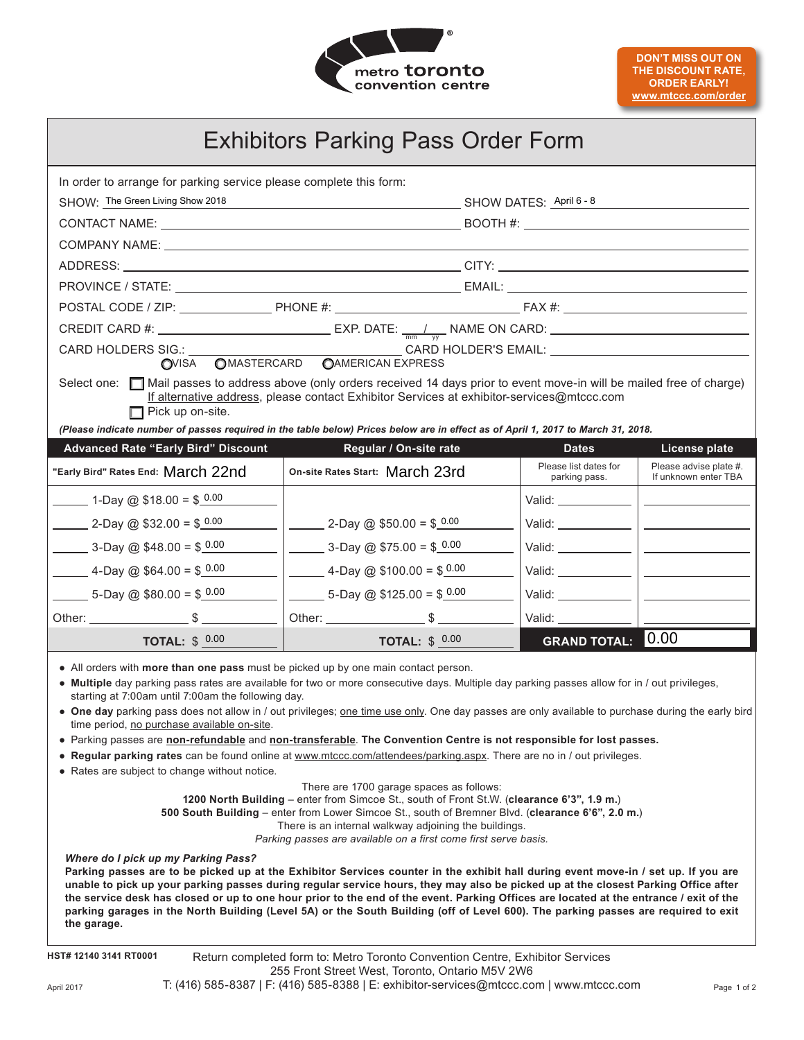

| <b>Exhibitors Parking Pass Order Form</b>                                                                                                                                                                                                                                                                                                                                                                                                                                                                                                                                                                                                                                                                                                                                                                                                                                                                                                                                                                                                                                                                                                                                                                                                                                                                                                                                                                                                                                                                                                                                                                                                                                                                                                                                                                                    |                                                      |  |                                        |                                                                                                                                                                                                                                      |  |
|------------------------------------------------------------------------------------------------------------------------------------------------------------------------------------------------------------------------------------------------------------------------------------------------------------------------------------------------------------------------------------------------------------------------------------------------------------------------------------------------------------------------------------------------------------------------------------------------------------------------------------------------------------------------------------------------------------------------------------------------------------------------------------------------------------------------------------------------------------------------------------------------------------------------------------------------------------------------------------------------------------------------------------------------------------------------------------------------------------------------------------------------------------------------------------------------------------------------------------------------------------------------------------------------------------------------------------------------------------------------------------------------------------------------------------------------------------------------------------------------------------------------------------------------------------------------------------------------------------------------------------------------------------------------------------------------------------------------------------------------------------------------------------------------------------------------------|------------------------------------------------------|--|----------------------------------------|--------------------------------------------------------------------------------------------------------------------------------------------------------------------------------------------------------------------------------------|--|
| In order to arrange for parking service please complete this form:                                                                                                                                                                                                                                                                                                                                                                                                                                                                                                                                                                                                                                                                                                                                                                                                                                                                                                                                                                                                                                                                                                                                                                                                                                                                                                                                                                                                                                                                                                                                                                                                                                                                                                                                                           |                                                      |  |                                        |                                                                                                                                                                                                                                      |  |
| SHOW: The Green Living Show 2018                                                                                                                                                                                                                                                                                                                                                                                                                                                                                                                                                                                                                                                                                                                                                                                                                                                                                                                                                                                                                                                                                                                                                                                                                                                                                                                                                                                                                                                                                                                                                                                                                                                                                                                                                                                             |                                                      |  | SHOW DATES: April 6 - 8                |                                                                                                                                                                                                                                      |  |
|                                                                                                                                                                                                                                                                                                                                                                                                                                                                                                                                                                                                                                                                                                                                                                                                                                                                                                                                                                                                                                                                                                                                                                                                                                                                                                                                                                                                                                                                                                                                                                                                                                                                                                                                                                                                                              |                                                      |  |                                        |                                                                                                                                                                                                                                      |  |
|                                                                                                                                                                                                                                                                                                                                                                                                                                                                                                                                                                                                                                                                                                                                                                                                                                                                                                                                                                                                                                                                                                                                                                                                                                                                                                                                                                                                                                                                                                                                                                                                                                                                                                                                                                                                                              |                                                      |  |                                        |                                                                                                                                                                                                                                      |  |
|                                                                                                                                                                                                                                                                                                                                                                                                                                                                                                                                                                                                                                                                                                                                                                                                                                                                                                                                                                                                                                                                                                                                                                                                                                                                                                                                                                                                                                                                                                                                                                                                                                                                                                                                                                                                                              |                                                      |  |                                        |                                                                                                                                                                                                                                      |  |
|                                                                                                                                                                                                                                                                                                                                                                                                                                                                                                                                                                                                                                                                                                                                                                                                                                                                                                                                                                                                                                                                                                                                                                                                                                                                                                                                                                                                                                                                                                                                                                                                                                                                                                                                                                                                                              |                                                      |  |                                        |                                                                                                                                                                                                                                      |  |
|                                                                                                                                                                                                                                                                                                                                                                                                                                                                                                                                                                                                                                                                                                                                                                                                                                                                                                                                                                                                                                                                                                                                                                                                                                                                                                                                                                                                                                                                                                                                                                                                                                                                                                                                                                                                                              |                                                      |  |                                        |                                                                                                                                                                                                                                      |  |
|                                                                                                                                                                                                                                                                                                                                                                                                                                                                                                                                                                                                                                                                                                                                                                                                                                                                                                                                                                                                                                                                                                                                                                                                                                                                                                                                                                                                                                                                                                                                                                                                                                                                                                                                                                                                                              |                                                      |  |                                        |                                                                                                                                                                                                                                      |  |
| CARD HOLDERS SIG.:<br>OVISA OMASTERCARD OAMERICAN EXPRESS                                                                                                                                                                                                                                                                                                                                                                                                                                                                                                                                                                                                                                                                                                                                                                                                                                                                                                                                                                                                                                                                                                                                                                                                                                                                                                                                                                                                                                                                                                                                                                                                                                                                                                                                                                    |                                                      |  |                                        |                                                                                                                                                                                                                                      |  |
| Select one: Mail passes to address above (only orders received 14 days prior to event move-in will be mailed free of charge)<br>If alternative address, please contact Exhibitor Services at exhibitor-services@mtccc.com<br>$\Box$ Pick up on-site.<br>(Please indicate number of passes required in the table below) Prices below are in effect as of April 1, 2017 to March 31, 2018.                                                                                                                                                                                                                                                                                                                                                                                                                                                                                                                                                                                                                                                                                                                                                                                                                                                                                                                                                                                                                                                                                                                                                                                                                                                                                                                                                                                                                                     |                                                      |  |                                        |                                                                                                                                                                                                                                      |  |
| <b>Advanced Rate "Early Bird" Discount</b>                                                                                                                                                                                                                                                                                                                                                                                                                                                                                                                                                                                                                                                                                                                                                                                                                                                                                                                                                                                                                                                                                                                                                                                                                                                                                                                                                                                                                                                                                                                                                                                                                                                                                                                                                                                   | Regular / On-site rate                               |  | <b>Dates</b>                           | <b>License plate</b>                                                                                                                                                                                                                 |  |
| "Early Bird" Rates End: March 22nd                                                                                                                                                                                                                                                                                                                                                                                                                                                                                                                                                                                                                                                                                                                                                                                                                                                                                                                                                                                                                                                                                                                                                                                                                                                                                                                                                                                                                                                                                                                                                                                                                                                                                                                                                                                           | On-site Rates Start: March 23rd                      |  | Please list dates for<br>parking pass. | Please advise plate #.<br>If unknown enter TBA                                                                                                                                                                                       |  |
| $\frac{1}{2}$ 1-Day @ \$18.00 = \$ $\frac{0.00}{2}$                                                                                                                                                                                                                                                                                                                                                                                                                                                                                                                                                                                                                                                                                                                                                                                                                                                                                                                                                                                                                                                                                                                                                                                                                                                                                                                                                                                                                                                                                                                                                                                                                                                                                                                                                                          |                                                      |  | Valid: $\_\_\_\_\_\_\_\_\_\_\_\_$      |                                                                                                                                                                                                                                      |  |
| 2-Day @ \$32.00 = \$ $0.00$                                                                                                                                                                                                                                                                                                                                                                                                                                                                                                                                                                                                                                                                                                                                                                                                                                                                                                                                                                                                                                                                                                                                                                                                                                                                                                                                                                                                                                                                                                                                                                                                                                                                                                                                                                                                  | $2-Day @ $50.00 = $0.00$                             |  | Valid: $\frac{1}{2}$                   | <u> Alexandria (Carlo Alexandria)</u>                                                                                                                                                                                                |  |
| $\frac{3 - \text{Day } \textcircled{2} } $48.00 = $ \frac{0.00}{0} $$                                                                                                                                                                                                                                                                                                                                                                                                                                                                                                                                                                                                                                                                                                                                                                                                                                                                                                                                                                                                                                                                                                                                                                                                                                                                                                                                                                                                                                                                                                                                                                                                                                                                                                                                                        | $222 = 3 - Day @ $75.00 = $0.00$                     |  | Valid: $\frac{1}{2}$                   | <u> 2000 - Andrea State Barbara, ameri</u> kan                                                                                                                                                                                       |  |
| $\frac{4 - \text{Day } \textcircled{a} $64.00 = $ \frac{0.00}{0.00}}{4 - \text{Day } \textcircled{b} $}$                                                                                                                                                                                                                                                                                                                                                                                                                                                                                                                                                                                                                                                                                                                                                                                                                                                                                                                                                                                                                                                                                                                                                                                                                                                                                                                                                                                                                                                                                                                                                                                                                                                                                                                     | $\frac{1}{2}$ 4-Day @ \$100.00 = \$ $\frac{0.00}{2}$ |  |                                        | <u> 1990 - John Harry Harry Harry Harry Harry Harry Harry Harry Harry Harry Harry Harry Harry Harry Harry Harry Harry Harry Harry Harry Harry Harry Harry Harry Harry Harry Harry Harry Harry Harry Harry Harry Harry Harry Harr</u> |  |
| $5-Day @ $80.00 = $0.00$                                                                                                                                                                                                                                                                                                                                                                                                                                                                                                                                                                                                                                                                                                                                                                                                                                                                                                                                                                                                                                                                                                                                                                                                                                                                                                                                                                                                                                                                                                                                                                                                                                                                                                                                                                                                     | $\frac{1}{2}$ 5-Day @ \$125.00 = \$ $\frac{0.00}{2}$ |  |                                        | <u> The Common State Common State Common</u>                                                                                                                                                                                         |  |
|                                                                                                                                                                                                                                                                                                                                                                                                                                                                                                                                                                                                                                                                                                                                                                                                                                                                                                                                                                                                                                                                                                                                                                                                                                                                                                                                                                                                                                                                                                                                                                                                                                                                                                                                                                                                                              |                                                      |  | Valid: $\frac{1}{2}$                   |                                                                                                                                                                                                                                      |  |
| TOTAL: $$0.00$                                                                                                                                                                                                                                                                                                                                                                                                                                                                                                                                                                                                                                                                                                                                                                                                                                                                                                                                                                                                                                                                                                                                                                                                                                                                                                                                                                                                                                                                                                                                                                                                                                                                                                                                                                                                               | TOTAL: $$0.00$                                       |  | <b>GRAND TOTAL: 0.00</b>               |                                                                                                                                                                                                                                      |  |
| • All orders with more than one pass must be picked up by one main contact person.<br>. Multiple day parking pass rates are available for two or more consecutive days. Multiple day parking passes allow for in / out privileges,<br>starting at 7:00am until 7:00am the following day.<br>. One day parking pass does not allow in / out privileges; one time use only. One day passes are only available to purchase during the early bird<br>time period, no purchase available on-site.<br>• Parking passes are non-refundable and non-transferable. The Convention Centre is not responsible for lost passes.<br>• Regular parking rates can be found online at www.mtccc.com/attendees/parking.aspx. There are no in / out privileges.<br>• Rates are subject to change without notice.<br>There are 1700 garage spaces as follows:<br>1200 North Building - enter from Simcoe St., south of Front St.W. (clearance 6'3", 1.9 m.)<br>500 South Building - enter from Lower Simcoe St., south of Bremner Blvd. (clearance 6'6", 2.0 m.)<br>There is an internal walkway adjoining the buildings.<br>Parking passes are available on a first come first serve basis.<br><b>Where do I pick up my Parking Pass?</b><br>Parking passes are to be picked up at the Exhibitor Services counter in the exhibit hall during event move-in / set up. If you are<br>unable to pick up your parking passes during regular service hours, they may also be picked up at the closest Parking Office after<br>the service desk has closed or up to one hour prior to the end of the event. Parking Offices are located at the entrance / exit of the<br>parking garages in the North Building (Level 5A) or the South Building (off of Level 600). The parking passes are required to exit<br>the garage.<br>HST# 12140 3141 RT0001 |                                                      |  |                                        |                                                                                                                                                                                                                                      |  |
| Return completed form to: Metro Toronto Convention Centre, Exhibitor Services<br>255 Front Street West, Toronto, Ontario M5V 2W6                                                                                                                                                                                                                                                                                                                                                                                                                                                                                                                                                                                                                                                                                                                                                                                                                                                                                                                                                                                                                                                                                                                                                                                                                                                                                                                                                                                                                                                                                                                                                                                                                                                                                             |                                                      |  |                                        |                                                                                                                                                                                                                                      |  |